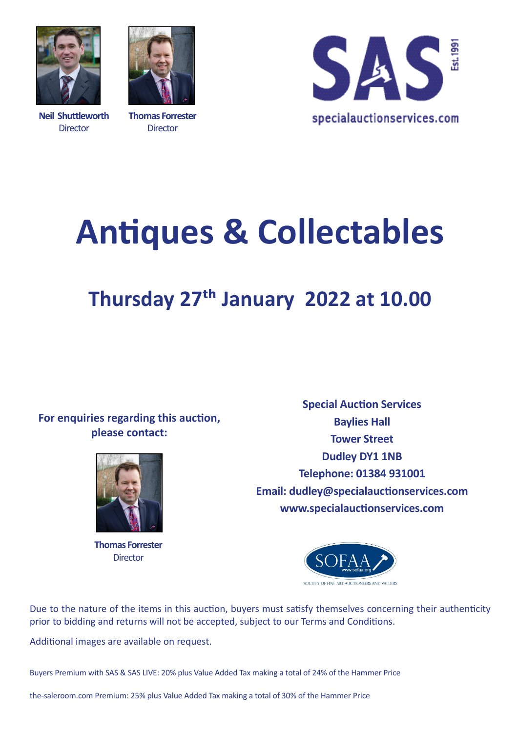

**Neil Shuttleworth Director** 



**Thomas Forrester Director** 



# **Antiques & Collectables**

## **Thursday 27th January 2022 at 10.00**

### **For enquiries regarding this auction, please contact:**



**Thomas Forrester Director** 

**Special Auction Services Baylies Hall Tower Street Dudley DY1 1NB Telephone: 01384 931001 Email: dudley@specialauctionservices.com www.specialauctionservices.com**



Due to the nature of the items in this auction, buyers must satisfy themselves concerning their authenticity prior to bidding and returns will not be accepted, subject to our Terms and Conditions.

Additional images are available on request.

Buyers Premium with SAS & SAS LIVE: 20% plus Value Added Tax making a total of 24% of the Hammer Price

the-saleroom.com Premium: 25% plus Value Added Tax making a total of 30% of the Hammer Price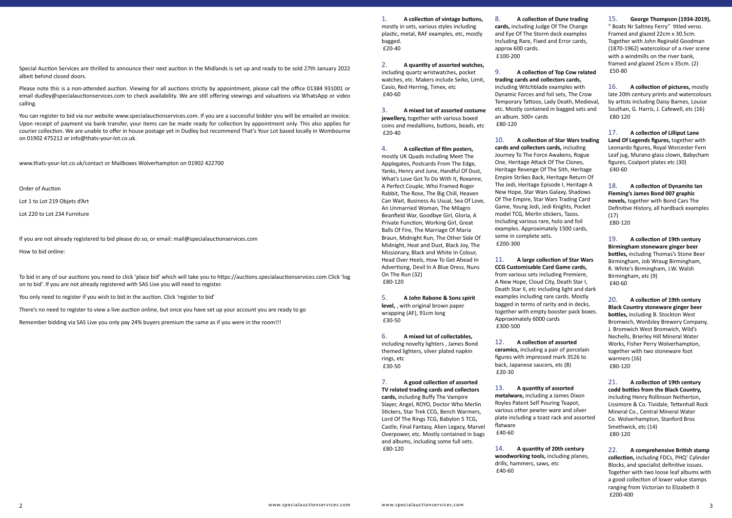Special Auction Services are thrilled to announce their next auction in the Midlands is set up and ready to be sold 27th January 2022 albeit behind closed doors.

Please note this is a non-attended auction. Viewing for all auctions strictly by appointment, please call the office 01384 931001 or email dudley@specialauctionservices.com to check availability. We are still offering viewings and valuations via WhatsApp or video calling.

You can register to bid via our website www.specialauctionservices.com. If you are a successful bidder you will be emailed an invoice. Upon receipt of payment via bank transfer, your items can be made ready for collection by appointment only. This also applies for courier collection. We are unable to offer in house postage yet in Dudley but recommend That's Your Lot based locally in Wombourne on 01902 475212 or info@thats-your-lot.co.uk.

www.thats-your-lot.co.uk/contact or Mailboxes Wolverhampton on 01902 422700

Order of Auction

Lot 1 to Lot 219 Objets d'Art

Lot 220 to Lot 234 Furniture

If you are not already registered to bid please do so, or email: mail@specialauctionservices.com How to bid online:

To bid in any of our auctions you need to click 'place bid' which will take you to https://auctions.specialauctionservices.com Click 'log on to bid'. If you are not already registered with SAS Live you will need to register.

You only need to register if you wish to bid in the auction. Click 'register to bid'

There's no need to register to view a live auction online, but once you have set up your account you are ready to go

Remember bidding via SAS Live you only pay 24% buyers premium the same as if you were in the room!!!

1. **A collection of vintage buttons,** mostly in sets, various styles including plastic, metal, RAF examples, etc, mostly bagged. £20-40

2. **A quantity of assorted watches,** including quartz wristwatches, pocket watches, etc. Makers include Seiko, Limit, Casio, Red Herring, Timex, etc £40-60

3. **A mixed lot of assorted costume jewellery,** together with various boxed coins and medallions, buttons, beads, etc £20-40

4. **A collection of film posters,** mostly UK Quads including Meet The Applegates, Postcards From The Edge, Yanks, Henry and June, Handful Of Dust, What's Love Got To Do With It, Roxanne, A Perfect Couple, Who Framed Roger Rabbit, The Rose, The Big Chill, Heaven Can Wait, Business As Usual, Sea Of Love, An Unmarried Woman, The Milagro Beanfield War, Goodbye Girl, Gloria, A Private Function, Working Girl, Great Balls Of Fire, The Marriage Of Maria Braun, Midnight Run, The Other Side Of Midnight, Heat and Dust, Black Joy, The Missionary, Black and White In Colour, Head Over Heels, How To Get Ahead In Advertising, Devil In A Blue Dress, Nuns On The Run (32) £80-120

5. **A John Rabone & Sons spirit level,** , with original brown paper wrapping (AF), 91cm long £30-50

6. **A mixed lot of collectables,** including novelty lighters , James Bond themed lighters, silver plated napkin rings, etc £30-50

7. **A good collection of assorted TV related trading cards and collectors cards,** including Buffy The Vampire Slayer, Angel, ROYO, Doctor Who Merlin Stickers, Star Trek CCG, Bench Warmers, Lord Of The Rings TCG, Babylon 5 TCG, Castle, Final Fantasy, Alien Legacy, Marvel Overpower, etc. Mostly contained in bags and albums, including some full sets. £80-120

8. **A collection of Dune trading** 

**cards,** including Judge Of The Change and Eye Of The Storm deck examples including Rare, Fixed and Error cards, approx 600 cards. £100-200

9. **A collection of Top Cow related trading cards and collectors cards,** including Witchblade examples with Dynamic Forces and foil sets, The Crow Temporary Tattoos, Lady Death, Medieval, etc. Mostly contained in bagged sets and an album. 500+ cards £80-120

10. **A collection of Star Wars trading cards and collectors cards,** including Journey To The Force Awakens, Rogue One, Heritage Attack Of The Clones, Heritage Revenge Of The Sith, Heritage Empire Strikes Back, Heritage Return Of The Jedi, Heritage Episode I, Heritage A New Hope, Star Wars Galaxy, Shadows Of The Empire, Star Wars Trading Card Game, Young Jedi, Jedi Knights, Pocket model TCG, Merlin stickers, Tazos. Including various rare, holo and foil examples. Approximately 1500 cards, some in complete sets. £200-300

11. **A large collection of Star Wars CCG Customisable Card Game cards,** from various sets including Premiere, A New Hope, Cloud City, Death Star I, Death Star II, etc including light and dark examples including rare cards. Mostly bagged in terms of rarity and in decks, together with empty booster pack boxes. Approximately 6000 cards £300-500

12. **A collection of assorted ceramics,** including a pair of porcelain figures with impressed mark 3526 to back, Japanese saucers, etc (8) £20-30

13. **A quantity of assorted metalware,** including a James Dixon Royles Patent Self Pouring Teapot, various other pewter ware and silver plate including a toast rack and assorted flatware £40-60

14. **A quantity of 20th century woodworking tools,** including planes, drills, hammers, saws, etc £40-60

### 15. **George Thompson (1934-2019),**

" Boats Nr Saltney Ferry" titled verso. Framed and glazed 22cm x 30.5cm. Together with John Reginald Goodman (1870-1962) watercolour of a river scene with a windmills on the river bank, framed and glazed 25cm x 35cm. (2) £50-80

16. **A collection of pictures,** mostly late 20th century prints and watercolours by artists including Daisy Barnes, Louise Southan, G. Harris, J. Cafewell, etc (16) £80-120

17. **A collection of Lilliput Lane Land Of Legends figures,** together with Leonardo figures, Royal Worcester Fern Leaf jug, Murano glass clown, Babycham figures, Coalport plates etc (30) £40-60

18. **A collection of Dynamite Ian Fleming's James Bond 007 graphic novels,** together with Bond Cars The Definitive History, all hardback examples (17) £80-120

19. **A collection of 19th century Birmingham stoneware ginger beer bottles,** including Thomas's Stone Beer Birmingham, Job Wraug Birmingham, R. White's Birmingham, J.W. Walsh Birmingham, etc (9) £40-60

20. **A collection of 19th century Black Country stoneware ginger beer bottles,** including B. Stockton West Bromwich, Wordsley Brewery Company, J. Bromwich West Bromwich, Wild's Nechells, Brierley Hill Mineral Water Works, Fisher Perry Wolverhampton, together with two stoneware foot warmers (16) £80-120

21. **A collection of 19th century codd bottles from the Black Country,** including Henry Rollinson Netherton, Lissimore & Co. Tividale, Tettenhall Rock Mineral Co., Central Mineral Water Co. Wolverhampton, Stanford Bros Smethwick, etc (14) £80-120

22. **A comprehensive British stamp collection,** including FDCs, PHQ' Cylinder Blocks, and specialist definitive issues. Together with two loose leaf albums with a good collection of lower value stamps ranging from Victorian to Elizabeth II £200-400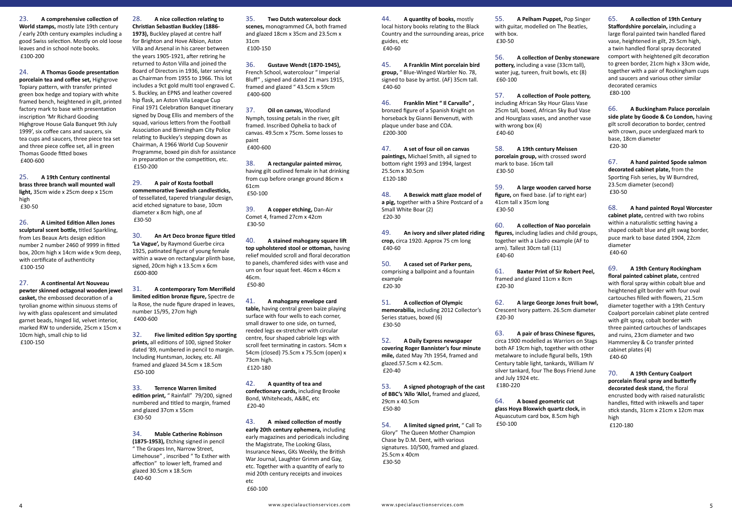23. **A comprehensive collection of World stamps,** mostly late 19th century / early 20th century examples including a good Swiss selection. Mostly on old loose leaves and in school note books. £100-200

24. **A Thomas Goode presentation porcelain tea and coffee set,** Highgrove Topiary pattern, with transfer printed green box hedge and topiary with white framed bench, heightened in gilt, printed factory mark to base with presentation inscription 'Mr Richard Gooding Highgrove House Gala Banquet 9th July 1999', six coffee cans and saucers, six tea cups and saucers, three piece tea set and three piece coffee set, all in green Thomas Goode fitted boxes £400-600

25. **A 19th Century continental brass three branch wall mounted wall light,** 35cm wide x 25cm deep x 15cm high £30-50

26. **A Limited Edition Allen Jones sculptural scent bottle,** titled Sparkling, from Les Beaux Arts design edition number 2 number 2460 of 9999 in fitted box, 20cm high x 14cm wide x 9cm deep, with certificate of authenticity £100-150

27. **A continental Art Nouveau pewter skinned octagonal wooden jewel casket,** the embossed decoration of a tyrolian gnome within sinuous stems of ivy with glass opalescent and simulated garnet beads, hinged lid, velvet interior, marked RW to underside, 25cm x 15cm x 10cm high, small chip to lid £100-150

28. **A nice collection relating to Christian Sebastian Buckley (1886- 1973),** Buckley played at centre half for Brighton and Hove Albion, Aston Villa and Arsenal in his career between the years 1905-1921, after retiring he returned to Aston Villa and joined the Board of Directors in 1936, later serving as Chairman from 1955 to 1966. This lot includes a 9ct gold multi tool engraved C. S. Buckley, an EPNS and leather covered hip flask, an Aston Villa League Cup Final 1971 Celebration Banquet itinerary signed by Doug Ellis and members of the squad, various letters from the Football Association and Birmingham City Police relating to Buckley's stepping down as Chairman, A 1966 World Cup Souvenir Programme, boxed pin dish for assistance in preparation or the competition, etc. £150-200

29. **A pair of Kosta football commemorative Swedish candlesticks,** of tessellated, tapered triangular design, acid etched signature to base, 10cm diameter x 8cm high, one af £30-50

30. **An Art Deco bronze figure titled 'La Vague',** by Raymond Guerbe circa 1925, patinated figure of young female within a wave on rectangular plinth base, signed, 20cm high x 13.5cm x 6cm £600-800

31. **A contemporary Tom Merrifield limited edition bronze figure,** Spectre de la Rose, the nude figure draped in leaves, number 15/95, 27cm high £400-600

32. **Five limited edition Spy sporting prints,** all editions of 100, signed Stoker dated '89, numbered in pencil to margin. Including Huntsman, Jockey, etc. All framed and glazed 34.5cm x 18.5cm £50-100

33. **Terrence Warren limited edition print,** " Rainfall" 79/200, signed numbered and titled to margin, framed and glazed 37cm x 55cm £30-50

34. **Mable Catherine Robinson (1875-1953),** Etching signed in pencil " The Grapes Inn, Narrow Street, Limehouse" , inscribed " To Esther with affection" to lower left, framed and glazed 30.5cm x 18.5cm £40-60

35. **Two Dutch watercolour dock scenes,** monogrammed CA, both framed and glazed 18cm x 35cm and 23.5cm x 31cm £100-150

36. **Gustave Wendt (1870-1945),** French School, watercolour " Imperial Bluff" , signed and dated 21 mars 1915, framed and glazed " 43.5cm x 59cm £400-600

37. **Oil on canvas,** Woodland Nymph, tossing petals in the river, gilt framed. Inscribed Ophelia to back of canvas. 49.5cm x 75cm. Some losses to paint £400-600

38. **A rectangular painted mirror,** having gilt outlined female in hat drinking from cup before orange ground 86cm x 61cm £50-100

39. **A copper etching,** Dan-Air Comet 4, framed 27cm x 42cm £30-50

40. **A stained mahogany square lift top upholstered stool or ottoman,** having relief moulded scroll and floral decoration to panels, chamfered sides with vase and urn on four squat feet. 46cm x 46cm x 46cm. £50-80

41. **A mahogany envelope card table,** having central green baize playing surface with four wells to each corner, small drawer to one side, on turned, reeded legs ex-stretcher with circular centre, four shaped cabriole legs with scroll feet terminating in castors. 54cm x 54cm (closed) 75.5cm x 75.5cm (open) x 73cm high. £120-180

42. **A quantity of tea and confectionary cards,** including Brooke Bond, Whiteheads, A&BC, etc £20-40

43. **A mixed collection of mostly early 20th century ephemera,** including early magazines and periodicals including the Magistrate, The Looking Glass, Insurance News, GKs Weekly, the British War Journal, Laughter Grimm and Gay, etc. Together with a quantity of early to mid 20th century receipts and invoices etc

£60-100

44. **A quantity of books,** mostly local history books relating to the Black Country and the surrounding areas, price guides, etc £40-60

45. **A Franklin Mint porcelain bird group,** " Blue-Winged Warbler No. 78, signed to base by artist. (AF) 35cm tall. £40-60

46. **Franklin Mint " Il Carvallo" ,** bronzed figure of a Spanish Knight on horseback by Gianni Benvenuti, with plaque under base and COA. £200-300

47. **A set of four oil on canvas paintings,** Michael Smith, all signed to bottom right 1993 and 1994, largest 25.5cm x 30.5cm £120-180

48. **A Beswick matt glaze model of a pig,** together with a Shire Postcard of a Small White Boar (2) £20-30

49. **An ivory and silver plated riding crop,** circa 1920. Approx 75 cm long £40-60

50. **A cased set of Parker pens,** comprising a ballpoint and a fountain example £20-30

51. **A collection of Olympic memorabilia,** including 2012 Collector's Series statues, boxed (6) £30-50

52. **A Daily Express newspaper covering Roger Bannister's four minute mile,** dated May 7th 1954, framed and glazed.57.5cm x 42.5cm. £20-40

53. **A signed photograph of the cast of BBC's 'Allo 'Allo!,** framed and glazed, 29cm x 40.5cm £50-80

54. **A limited signed print,** " Call To Glory" The Queen Mother Champion Chase by D.M. Dent, with various signatures. 10/500, framed and glazed. 25.5cm x 40cm £30-50

55. **A Pelham Puppet,** Pop Singer with guitar, modelled on The Beatles, with box. £30-50

56. **A collection of Denby stoneware pottery,** including a vase (33cm tall), water jug, tureen, fruit bowls, etc (8) £60-100

57. **A collection of Poole pottery,** including African Sky Hour Glass Vase 25cm tall, boxed, African Sky Bud Vase and Hourglass vases, and another vase with wrong box (4) £40-60

58. **A 19th century Meissen porcelain group,** with crossed sword mark to base. 16cm tall £30-50

59. **A large wooden carved horse figure,** on fixed base. (af to right ear) 41cm tall x 35cm long £30-50

60. **A collection of Nao porcelain figures,** including ladies and child groups, together with a Lladro example (AF to arm). Tallest 30cm tall (11) £40-60

61. **Baxter Print of Sir Robert Peel,** framed and glazed 11cm x 8cm £20-30

62. **A large George Jones fruit bowl,** Crescent Ivory pattern. 26.5cm diameter £20-30

63. **A pair of brass Chinese figures,** circa 1900 modelled as Warriors on Stags both AF 19cm high, together with other metalware to include figural bells, 19th Century table light, tankards, William IV silver tankard, four The Boys Friend June and July 1924 etc. £180-220

64. **A boxed geometric cut glass Hoya Bloxwich quartz clock,** in Aquascutum card box, 8.5cm high £50-100

65. **A collection of 19th Century Staffordshire porcelain,** including a large floral painted twin handled flared vase, heightened in gilt, 29.5cm high, a twin handled floral spray decorated comport with heightened gilt decoration to green border, 21cm high x 33cm wide, together with a pair of Rockingham cups and saucers and various other similar decorated ceramics £80-100

66. **A Buckingham Palace porcelain side plate by Goode & Co London,** having gilt scroll decoration to border, centred with crown, puce underglazed mark to base, 18cm diameter £20-30

67. **A hand painted Spode salmon decorated cabinet plate,** from the Sporting Fish series, by W Burndred, 23.5cm diameter (second) £30-50

68. **A hand painted Royal Worcester cabinet plate,** centred with two robins within a naturalistic setting having a shaped cobalt blue and gilt swag border, puce mark to base dated 1904, 22cm diameter £40-60

69. **A 19th Century Rockingham floral painted cabinet plate,** centred with floral spray within cobalt blue and heightened gilt border with four oval cartouches filled with flowers, 21.5cm diameter together with a 19th Century Coalport porcelain cabinet plate centred with gilt spray, cobalt border with three painted cartouches of landscapes and ruins, 23cm diameter and two Hammersley & Co transfer printed cabinet plates (4) £40-60

70. **A 19th Century Coalport porcelain floral spray and butterfly decorated desk stand,** the floral encrusted body with raised naturalistic handles, fitted with inkwells and taper stick stands, 31cm x 21cm x 12cm max high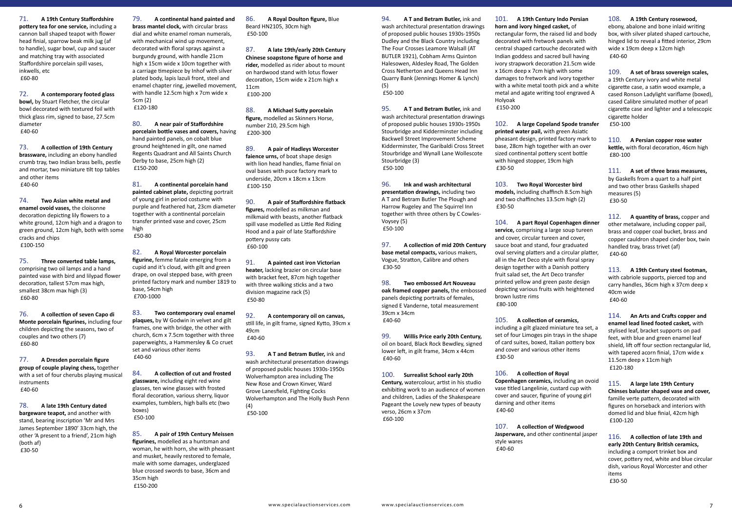71. **A 19th Century Staffordshire pottery tea for one service,** including a cannon ball shaped teapot with flower head finial, sparrow beak milk jug (af to handle), sugar bowl, cup and saucer and matching tray with associated Staffordshire porcelain spill vases, inkwells, etc £60-80

72. **A contemporary footed glass bowl,** by Stuart Fletcher, the circular bowl decorated with textured foil with thick glass rim, signed to base, 27.5cm diameter £40-60

73. **A collection of 19th Century brassware,** including an ebony handled crumb tray, two Indian brass bells, pestle and mortar, two miniature tilt top tables and other items £40-60

74. **Two Asian white metal and enamel ovoid vases,** the cloisonne decoration depicting lily flowers to a white ground, 12cm high and a dragon to green ground, 12cm high, both with some cracks and chips £100-150

75. **Three converted table lamps,** comprising two oil lamps and a hand painted vase with bird and lilypad flower decoration, tallest 57cm max high, smallest 38cm max high (3) £60-80

76. **A collection of seven Capo di Monte porcelain figurines,** including four children depicting the seasons, two of couples and two others (7) £60-80

77. **A Dresden porcelain figure group of couple playing chess,** together with a set of four cherubs playing musical instruments £40-60

78. **A late 19th Century dated bargeware teapot,** and another with stand, bearing inscription 'Mr and Mrs James September 1890' 33cm high, the other 'A present to a friend', 21cm high (both af) £30-50

79. **A continental hand painted and brass mantel clock,** with circular brass dial and white enamel roman numerals, with mechanical wind up movement, decorated with floral sprays against a burgundy ground, with handle 21cm high x 15cm wide x 10cm together with a carriage timepiece by Inhof with silver plated body, lapis lazuli front, steel and enamel chapter ring, jewelled movement, with handle 12.5cm high x 7cm wide x 5cm (2) £120-180

80. **A near pair of Staffordshire porcelain bottle vases and covers,** having hand painted panels, on cobalt blue ground heightened in gilt, one named Regents Quadrant and All Saints Church Derby to base, 25cm high (2) £150-200

81. **A continental porcelain hand painted cabinet plate,** depicting portrait of young girl in period costume with purple and feathered hat, 23cm diameter together with a continental porcelain transfer printed vase and cover, 25cm high £50-80

82. **A Royal Worcester porcelain figurine,** femme fatale emerging from a cupid and it's cloud, with gilt and green drape, on oval stepped base, with green printed factory mark and number 1819 to base, 54cm high £700-1000

83. **Two contemporary oval enamel plaques,** by W Godwin in velvet and gilt frames, one with bridge, the other with church, 6cm x 7.5cm together with three paperweights, a Hammersley & Co cruet set and various other items £40-60

84. **A collection of cut and frosted glassware,** including eight red wine glasses, ten wine glasses with frosted floral decoration, various sherry, liquor examples, tumblers, high balls etc (two boxes) £50-100

85. **A pair of 19th Century Meissen figurines,** modelled as a huntsman and woman, he with horn, she with pheasant and musket, heavily restored to female, male with some damages, underglazed blue crossed swords to base, 36cm and 35cm high £150-200

86. **A Royal Doulton figure,** Blue Beard HN2105, 30cm high £50-100

87. **A late 19th/early 20th Century Chinese soapstone figure of horse and rider,** modelled as rider about to mount on hardwood stand with lotus flower decoration, 15cm wide x 21cm high x 11cm £100-200

88. **A Michael Sutty porcelain figure,** modelled as Skinners Horse, number 210, 29.5cm high £200-300

89. **A pair of Hadleys Worcester faience urns,** of boat shape design with lion head handles, flame finial on oval bases with puce factory mark to underside, 20cm x 18cm x 13cm £100-150

90. **A pair of Staffordshire flatback figures,** modelled as milkman and milkmaid with beasts, another flatback spill vase modelled as Little Red Riding Hood and a pair of late Staffordshire pottery pussy cats £60-100

91. **A painted cast iron Victorian heater,** lacking brazier on circular base with bracket feet, 87cm high together with three walking sticks and a two division magazine rack (5) £50-80

92. **A contemporary oil on canvas,** still life, in gilt frame, signed Kytto, 39cm x 49cm £40-60

93. **A T and Betram Butler,** ink and wash architectural presentation drawings of proposed public houses 1930s-1950s Wolverhampton area including The New Rose and Crown Kinver, Ward Grove Lanesfield, Fighting Cocks Wolverhampton and The Holly Bush Penn (4)

£50-100

94. **A T and Betram Butler,** ink and wash architectural presentation drawings of proposed public houses 1930s-1950s Dudley and the Black Country including The Four Crosses Leamore Walsall (AT BUTLER 1921), Cobham Arms Quinton Halesowen, Aldesley Road, The Golden Cross Netherton and Queens Head Inn Quarry Bank (Jennings Homer & Lynch) (5) £50-100

95. **A T and Betram Butler,** ink and wash architectural presentation drawings of proposed public houses 1930s-1950s Stourbridge and Kidderminster including Backwell Street Improvement Scheme Kidderminster, The Garibaldi Cross Street Stourbridge and Wynall Lane Wollescote Stourbridge (3) £50-100

96. **Ink and wash architectural presentation drawings,** including two A T and Betram Butler The Plough and Harrow Rugeley and The Squirrel Inn together with three others by C Cowles-Voysey (5) £50-100

97. **A collection of mid 20th Century base metal compacts,** various makers, Vogue, Stratton, Calibre and others £30-50

98. **Two embossed Art Nouveau oak framed copper panels,** the embossed panels depicting portraits of females, signed E Vanderne, total measurement 39cm x 34cm £40-60

99. **Willis Price early 20th Century,** oil on board, Black Rock Bewdley, signed lower left, in gilt frame, 34cm x 44cm £40-60

100. **Surrealist School early 20th Century,** watercolour, artist in his studio exhibiting work to an audience of women and children, Ladies of the Shakespeare Pageant the Lovely new types of beauty verso, 26cm x 37cm £60-100

101. **A 19th Century Indo Persian horn and ivory hinged casket,** of rectangular form, the raised lid and body decorated with fretwork panels with central shaped cartouche decorated with Indian goddess and sacred bull having ivory strapwork decoration 21.5cm wide x 16cm deep x 7cm high with some damages to fretwork and ivory together with a white metal tooth pick and a white metal and agate writing tool engraved A Holyoak £150-200

102. **A large Copeland Spode transfer printed water pail,** with green Asiatic pheasant design, printed factory mark to base, 28cm high together with an over sized continental pottery scent bottle with hinged stopper, 19cm high £30-50

103. **Two Royal Worcester bird models,** including chaffinch 8.5cm high and two chaffinches 13.5cm high (2) £30-50

104. **A part Royal Copenhagen dinner service,** comprising a large soup tureen and cover, circular tureen and cover, sauce boat and stand, four graduated oval serving platters and a circular platter, all in the Art Deco style with floral spray design together with a Danish pottery fruit salad set, the Art Deco transfer printed yellow and green paste design depicting various fruits with heightened brown lustre rims £80-100

105. **A collection of ceramics,** including a gilt glazed miniature tea set, a set of four Limoges pin trays in the shape of card suites, boxed, Italian pottery box and cover and various other items £30-50

106. **A collection of Royal Copenhagen ceramics,** including an ovoid vase titled Langelinie, custard cup with cover and saucer, figurine of young girl darning and other items £40-60

107. **A collection of Wedgwood Jasperware,** and other continental jasper style wares £40-60

### 108. **A 19th Century rosewood,**

ebony, abalone and bone inlaid writing box, with silver plated shaped cartouche, hinged lid to reveal a fitted interior, 29cm wide x 19cm deep x 12cm high £40-60

### 109. **A set of brass sovereign scales,**

a 19th Century ivory and white metal cigarette case, a satin wood example, a cased Ronson Ladylight variflame (boxed), cased Calibre simulated mother of pearl cigarette case and lighter and a telescopic cigarette holder £50-100

### 110. **A Persian copper rose water kettle,** with floral decoration, 46cm high £80-100

111. **A set of three brass measures,** by Gaskells from a quart to a half pint and two other brass Gaskells shaped measures (5) £30-50

112. **A quantity of brass,** copper and other metalware, including copper pail, brass and copper coal bucket, brass and copper cauldron shaped cinder box, twin handled tray, brass trivet (af) £40-60

#### 113. **A 19th Century steel footman,** with cabriole supports, pierced top and carry handles, 36cm high x 37cm deep x 40cm wide £40-60

114. **An Arts and Crafts copper and enamel lead lined footed casket,** with stylised leaf, bracket supports on pad feet, with blue and green enamel leaf shield, lift off four section rectangular lid, with tapered acorn finial, 17cm wide x 11.5cm deep x 11cm high £120-180

### 115. **A large late 19th Century Chinses baluster shaped vase and cover,** famille verte pattern, decorated with figures on horseback and interiors with domed lid and blue finial, 42cm high £100-120

116. **A collection of late 19th and early 20th Century British ceramics,** including a comport trinket box and cover, pottery red, white and blue circular dish, various Royal Worcester and other items £30-50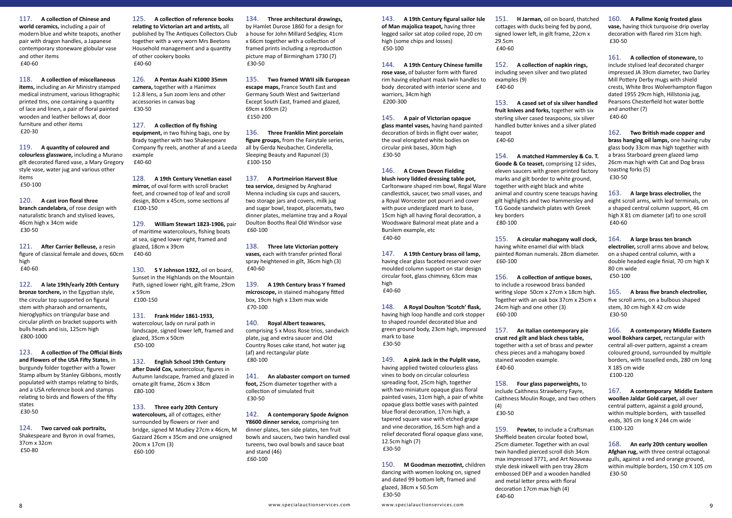117. **A collection of Chinese and world ceramics,** including a pair of modern blue and white teapots, another pair with dragon handles, a Japanese contemporary stoneware globular vase and other items £40-60

118. **A collection of miscellaneous items,** including an Air Ministry stamped medical instrument, various lithographic printed tins, one containing a quantity of lace and linen, a pair of floral painted wooden and leather bellows af, door furniture and other items £20-30

119. **A quantity of coloured and colourless glassware,** including a Murano gilt decorated flared vase, a Mary Gregory style vase, water jug and various other items £50-100

120. **A cast iron floral three branch candelabra,** of rose design with naturalistic branch and stylised leaves, 46cm high x 34cm wide £30-50

121. **After Carrier Belleuse,** a resin figure of classical female and doves, 60cm high £40-60

122. **A late 19th/early 20th Century bronze torchere,** in the Egyptian style, the circular top supported on figural stem with pharaoh and ornaments, hieroglyphics on triangular base and circular plinth on bracket supports with bulls heads and isis, 125cm high £800-1000

123. **A collection of The Official Birds and Flowers of the USA Fifty States,** in burgundy folder together with a Tower Stamp album by Stanley Gibbons, mostly populated with stamps relating to birds, and a USA reference book and stamps relating to birds and flowers of the fifty states £30-50

124. **Two carved oak portraits,** Shakespeare and Byron in oval frames, 37cm x 32cm £50-80

125. **A collection of reference books relating to Victorian art and artists,** all published by The Antiques Collectors Club together with a very worn Mrs Beetons Household management and a quantity of other cookery books £40-60

126. **A Pentax Asahi K1000 35mm camera,** together with a Hanimex 1:2.8 lens, a Sun zoom lens and other accessories in canvas bag £30-50

127. **A collection of fly fishing equipment,** in two fishing bags, one by Brady together with two Shakespeare Company fly reels, another af and a Leeda example £40-60

128. **A 19th Century Venetian easel mirror,** of oval form with scroll bracket feet, and crowned top of leaf and scroll design, 80cm x 45cm, some sections af £100-150

129. **William Stewart 1823-1906,** pair of maritime watercolours, fishing boats at sea, signed lower right, framed and glazed, 18cm x 39cm £40-60

130. **S Y Johnson 1922,** oil on board, Sunset in the Highlands on the Mountain Path, signed lower right, gilt frame, 29cm x 59cm £100-150

131. **Frank Hider 1861-1933,** watercolour, lady on rural path in landscape, signed lower left, framed and glazed, 35cm x 50cm £50-100

132. **English School 19th Century after David Cox,** watercolour, figures in Autumn landscape, framed and glazed in ornate gilt frame, 26cm x 38cm £80-100

133. **Three early 20th Century watercolours,** all of cottages, either surrounded by flowers or river and bridge, signed M Mudiey 27cm x 46cm, M Gazzard 26cm x 35cm and one unsigned 20cm x 17cm (3) £60-100

134. **Three architectural drawings,** by Hamlet Durose 1860 for a design for a house for John Millard Sedgley, 41cm x 66cm together with a collection of framed prints including a reproduction picture map of Birmingham 1730 (7) £30-50

135. **Two framed WWII silk European escape maps,** France South East and Germany South West and Switzerland Except South East, framed and glazed, 69cm x 69cm (2) £150-200

136. **Three Franklin Mint porcelain figure groups,** from the Fairytale series, all by Gerda Neubacher, Cinderella, Sleeping Beauty and Rapunzel (3) £100-150

137. **A Portmeirion Harvest Blue tea service,** designed by Angharad Menna including six cups and saucers, two storage jars and covers, milk jug and sugar bowl, teapot, placemats, two dinner plates, melamine tray and a Royal Doulton Booths Real Old Windsor vase £60-100

138. **Three late Victorian pottery vases,** each with transfer printed floral spray heightened in gilt, 36cm high (3) £40-60

139. **A 19th Century brass Y framed microscope,** in stained mahogany fitted box, 19cm high x 13xm max wide £70-100

140. **Royal Albert teawares,** comprising 5 x Moss Rose trios, sandwich plate, jug and extra saucer and Old Country Roses cake stand, hot water jug (af) and rectangular plate £80-100

141. **An alabaster comport on turned foot,** 25cm diameter together with a collection of simulated fruit £30-50

142. **A contemporary Spode Avignon Y8600 dinner service,** comprising ten dinner plates, ten side plates, ten fruit bowls and saucers, two twin handled oval tureens, two oval bowls and sauce boat and stand (46) £60-100

143. **A 19th Century figural sailor Isle of Man majolica teapot,** having three legged sailor sat atop coiled rope, 20 cm high (some chips and losses) £50-100

144. **A 19th Century Chinese famille rose vase,** of baluster form with flared rim having elephant mask twin handles to body decorated with interior scene and warriors, 34cm high £200-300

145. **A pair of Victorian opaque glass mantel vases,** having hand painted decoration of birds in flight over water, the oval elongated white bodies on circular pink bases, 30cm high £30-50

146. **A Crown Devon Fielding blush ivory lidded dressing table pot,** Carltonware shaped rim bowl, Regal Ware candlestick, saucer, two small vases, and a Royal Worcester pot pourri and cover with puce underglazed mark to base, 15cm high all having floral decoration, a Woodsware Balmoral meat plate and a Burslem example, etc £40-60

147. **A 19th Century brass oil lamp,** having clear glass faceted reservoir over moulded column support on star design circular foot, glass chimney, 63cm max high £40-60

148. **A Royal Doulton 'Scotch' flask,** having high loop handle and cork stopper to shaped roundel decorated blue and green ground body, 23cm high, impressed mark to base £30-50

149. **A pink Jack in the Pulplit vase,** having applied twisted colourless glass vines to body on circular colourless spreading foot, 25cm high, together with two miniature opaque glass floral painted vases, 11cm high, a pair of white opaque glass bottle vases with painted blue floral decoration, 17cm high, a tapered square vase with etched grape and vine decoration, 16.5cm high and a relief decorated floral opaque glass vase, 12.5cm high (7) £30-50

150. **M Goodman mezzotint,** children dancing with women looking on, signed and dated 99 bottom left, framed and glazed, 38cm x 50.5cm £30-50

151. **H Jarman,** oil on board, thatched cottages with ducks being fed by pond, signed lower left, in gilt frame, 22cm x 29.5cm £40-60

152. **A collection of napkin rings,** including seven silver and two plated examples (9) £40-60

153. **A cased set of six silver handled fruit knives and forks,** together with six sterling silver cased teaspoons, six silver handled butter knives and a silver plated teapot £40-60

154. **A matched Hammersley & Co. T. Goode & Co teaset,** comprising 12 sides, eleven saucers with green printed factory marks and gilt border to white ground, together with eight black and white animal and country scene teacups having gilt highlights and two Hammersley and T.G Goode sandwich plates with Greek key borders £80-100

155. **A circular mahogany wall clock,** having white enamel dial with black painted Roman numerals. 28cm diameter. £60-100

156. **A collection of antique boxes,** to include a rosewood brass banded writing slope 50cm x 27cm x 18cm high. Together with an oak box 37cm x 25cm x 24cm high and one other (3) £60-100

157. **An Italian contemporary pie crust red gilt and black chess table,** together with a set of brass and pewter chess pieces and a mahogany boxed stained wooden example. £40-60

158. **Four glass paperweights,** to include Caithness Strawberry Fayre, Caithness Moulin Rouge, and two others (4) £30-50

159. **Pewter,** to include a Craftsman Sheffield beaten circular footed bowl, 25cm diameter. Together with an oval twin handled pierced scroll dish 34cm max impressed 3771, and Art Nouveau style desk inkwell with pen tray 28cm embossed DEP and a wooden handled and metal letter press with floral decoration 17cm max high (4) £40-60

160. **A Pallme Konig frosted glass vase,** having thick turquoise drip overlay decoration with flared rim 31cm high. £30-50

161. **A collection of stoneware,** to include stylised leaf decorated charger impressed JA 39cm diameter, two Darley Mill Pottery Derby mugs with shield crests, White Bros Wolverhampton flagon dated 1955 29cm high, Hillstonia jug, Pearsons Chesterfield hot water bottle and another (7) £40-60

162. **Two British made copper and brass hanging oil lamps,** one having ruby glass body 33cm max high together with a brass Starboard green glazed lamp 26cm max high with Cat and Dog brass toasting forks (5) £30-50

163. **A large brass electrolier,** the eight scroll arms, with leaf terminals, on a shaped central column support, 46 cm high X 81 cm diameter (af) to one scroll £40-60

164. **A large brass ten branch electrolier,** scroll arms above and below, on a shaped central column, with a double headed eagle finial, 70 cm high X 80 cm wide £50-100

165. **A brass five branch electrolier,** five scroll arms, on a bulbous shaped stem, 30 cm high X 42 cm wide £30-50

166. **A contemporary Middle Eastern wool Bokhara carpet,** rectangular with central all-over pattern, against a cream coloured ground, surrounded by multiple borders, with tasselled ends, 280 cm long X 185 cm wide £100-120

167. **A contemporary Middle Eastern woollen Jaldar Gold carpet,** all over central pattern, against a gold ground, within multiple borders, with tasselled ends, 305 cm long X 244 cm wide £100-120

168. **An early 20th century woollen Afghan rug,** with three central octagonal gulls, against a red and orange ground, within multiple borders, 150 cm X 105 cm £30-50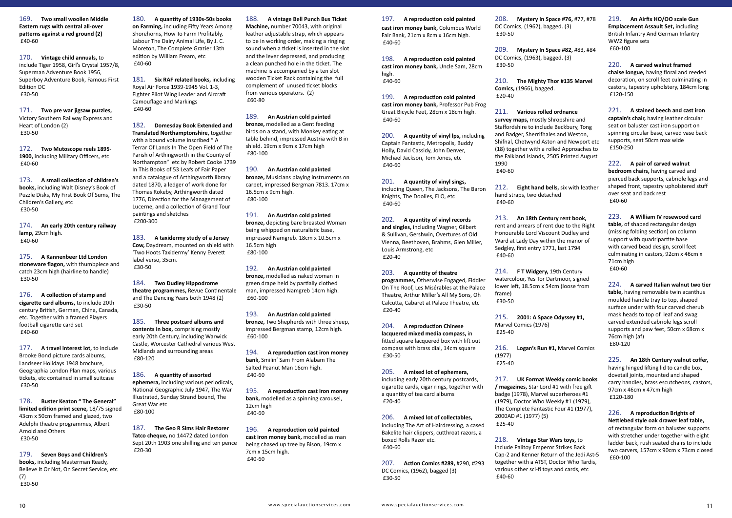169. **Two small woollen Middle Eastern rugs with central all-over patterns against a red ground (2)** £40-60

170. **Vintage child annuals,** to include Tiger 1958, Girl's Crystal 1957/8, Superman Adventure Book 1956, Superboy Adventure Book, Famous First Edition DC £30-50

171. **Two pre war jigsaw puzzles,** Victory Southern Railway Express and Heart of London (2) £30-50

172. **Two Mutoscope reels 1895- 1900,** including Military Officers, etc £40-60

173. **A small collection of children's books,** including Walt Disney's Book of Puzzle Disks, My First Book Of Sums, The Children's Gallery, etc £30-50

174. **An early 20th century railway lamp,** 29cm high. £40-60

175. **A Kannenbeer Ltd London stoneware flagon,** with thumbpiece and catch 23cm high (hairline to handle) £30-50

176. **A collection of stamp and cigarette card albums,** to include 20th century British, German, China, Canada, etc. Together with a framed Players football cigarette card set £40-60

177. **A travel interest lot,** to include Brooke Bond picture cards albums, Landseer Holidays 1948 brochure, Geographia London Plan maps, various tickets, etc contained in small suitcase £30-50

178. **Buster Keaton " The General" limited edition print scene,** 18/75 signed 43cm x 50cm framed and glazed, two Adelphi theatre programmes, Albert Arnold and Others £30-50

179. **Seven Boys and Children's books,** including Masterman Ready, Believe It Or Not, On Secret Service, etc (7) £30-50

180. **A quantity of 1930s-50s books on Farming,** including Fifty Years Among Shorehorns, How To Farm Profitably, Labour The Dairy Animal Life, By J. C. Moreton, The Complete Grazier 13th edition by William Fream, etc £40-60

181. **Six RAF related books,** including Royal Air Force 1939-1945 Vol. 1-3, Fighter Pilot Wing Leader and Aircraft Camouflage and Markings £40-60

182. **Domesday Book Extended and Translated Northamptonshire,** together with a bound volume inscribed " A Terrar Of Lands In The Open Field of The Parish of Arthingworth in the County of Northampton" etc by Robert Cooke 1739 In This Books of 53 Leafs of Fair Paper and a catalogue of Arthingworth library dated 1870, a ledger of work done for Thomas Rokeby, Arthingworth dated 1776, Direction for the Management of Lucerne, and a collection of Grand Tour paintings and sketches £200-300

183. **A taxidermy study of a Jersey Cow,** Daydream, mounted on shield with 'Two Hoots Taxidermy' Kenny Everett label verso, 35cm. £30-50

184. **Two Dudley Hippodrome theatre programmes,** Revue Continentale and The Dancing Years both 1948 (2) £30-50

185. **Three postcard albums and contents in box,** comprising mostly early 20th Century, including Warwick Castle, Worcester Cathedral various West Midlands and surrounding areas £80-120

186. **A quantity of assorted ephemera,** including various periodicals, National Geographic July 1947, The War Illustrated, Sunday Strand bound, The Great War etc £80-100

187. **The Geo R Sims Hair Restorer Tatco cheque,** no 14472 dated London Sept 20th 1903 one shilling and ten pence £20-30

188. **A vintage Bell Punch Bus Ticket Machine,** number 70043, with original leather adjustable strap, which appears to be in working order, making a ringing sound when a ticket is inserted in the slot and the lever depressed, and producing a clean punched hole in the ticket. The machine is accompanied by a ten slot wooden Ticket Rack containing the full complement of unused ticket blocks from various operators. (2) £60-80

189. **An Austrian cold painted bronze,** modelled as a Gent feeding birds on a stand, with Monkey eating at table behind, impressed Austria with B in shield. 19cm x 9cm x 17cm high £80-100

190. **An Austrian cold painted bronze,** Musicians playing instruments on carpet, impressed Bergman 7813. 17cm x 16.5cm x 9cm high. £80-100

191. **An Austrian cold painted bronze,** depicting bare breasted Woman being whipped on naturalistic base, impressed Namgreb. 18cm x 10.5cm x 16.5cm high £80-100

192. **An Austrian cold painted bronze,** modelled as naked woman in green drape held by partially clothed man, impressed Namgreb 14cm high. £60-100

193. **An Austrian cold painted bronze,** Two Shepherds with three sheep, impressed Bergman stamp, 12cm high. £60-100

194. **A reproduction cast iron money bank,** Smilin' Sam From Alabam The Salted Peanut Man 16cm high. £40-60

195. **A reproduction cast iron money bank,** modelled as a spinning carousel, 12cm high £40-60

196. **A reproduction cold painted cast iron money bank,** modelled as man being chased up tree by Bison, 19cm x 7cm x 15cm high. £40-60

197. **A reproduction cold painted cast iron money bank,** Columbus World Fair Bank, 21cm x 8cm x 16cm high. £40-60

198. **A reproduction cold painted cast iron money bank,** Uncle Sam, 28cm high. £40-60

199. **A reproduction cold painted cast iron money bank,** Professor Pub Frog Great Bicycle Feet, 28cm x 18cm high. £40-60

200. **A quantity of vinyl lps,** including Captain Fantastic, Metropolis, Buddy Holly, David Cassidy, John Denver, Michael Jackson, Tom Jones, etc £40-60

201. **A quantity of vinyl sings,** including Queen, The Jacksons, The Baron Knights, The Doolies, ELO, etc £40-60

202. **A quantity of vinyl records and singles,** including Wagner, Gilbert & Sullivan, Gershwin, Overtures of Old Vienna, Beethoven, Brahms, Glen Miller, Louis Armstrong, etc £20-40

203. **A quantity of theatre programmes,** Otherwise Engaged, Fiddler On The Roof, Les Misérables at the Palace Theatre, Arthur Miller's All My Sons, Oh Calcutta, Cabaret at Palace Theatre, etc £20-40

204. **A reproduction Chinese lacquered mixed media compass,** in fitted square lacquered box with lift out compass with brass dial, 14cm square £30-50

205. **A mixed lot of ephemera,** including early 20th century postcards, cigarette cards, cigar rings, together with a quantity of tea card albums £20-40

206. **A mixed lot of collectables,** including The Art of Hairdressing, a cased Bakelite hair clippers, cutthroat razors, a boxed Rolls Razor etc. £40-60

207. **Action Comics #289,** #290, #293 DC Comics, (1962), bagged (3) £30-50

208. **Mystery In Space #76,** #77, #78 DC Comics, (1962), bagged. (3) £30-50

209. **Mystery In Space #82,** #83, #84 DC Comics, (1963), bagged. (3) £30-50

210. **The Mighty Thor #135 Marvel Comics,** (1966), bagged. £20-40

211. **Various rolled ordnance survey maps,** mostly Shropshire and Staffordshire to include Beckbury, Tong and Badger, Sherrifhales and Weston, Shifnal, Chetwynd Aston and Newport etc (18) together with a rolled Approaches to the Falkland Islands, 2505 Printed August 1990 £40-60

212. **Eight hand bells,** six with leather hand straps, two detached £40-60

213. **An 18th Century rent book,** rent and arrears of rent due to the Right Honourable Lord Viscount Dudley and Ward at Lady Day within the manor of Sedgley, first entry 1771, last 1794 £40-60

214. **F T Widgery,** 19th Century watercolour, Yes Tor Dartmoor, signed lower left, 18.5cm x 54cm (loose from frame) £30-50

215. **2001: A Space Odyssey #1,** Marvel Comics (1976) £25-40

216. **Logan's Run #1,** Marvel Comics (1977) £25-40

217. **UK Format Weekly comic books / magazines,** Star Lord #1 with free gift badge (1978), Marvel superheroes #1 (1979), Doctor Who Weekly #1 (1979), The Complete Fantastic Four #1 (1977), 2000AD #1 (1977) (5) £25-40

218. **Vintage Star Wars toys,** to include Palitoy Emperor Strikes Back Cap-2 and Kenner Return of the Jedi Ast-5 together with a ATST, Doctor Who Tardis, various other sci-fi toys and cards, etc £40-60

219. **An Airfix HO/OO scale Gun Emplacement Assault Set,** including British Infantry And German Infantry WW2 figure sets £60-100

### 220. **A carved walnut framed**

**chaise longue,** having floral and reeded decoration, on scroll feet culminating in castors, tapestry upholstery, 184cm long £120-150

221. **A stained beech and cast iron** 

**captain's chair,** having leather circular seat on baluster cast iron support on spinning circular base, carved vase back supports, seat 50cm max wide £150-250

#### 222. **A pair of carved walnut**

**bedroom chairs,** having carved and pierced back supports, cabriole legs and shaped front, tapestry upholstered stuff over seat and back rest £40-60

223. **A William IV rosewood card** 

**table,** of shaped rectangular design (missing folding section) on column support with quadripartite base with carved bead design, scroll feet culminating in castors, 92cm x 46cm x 71cm high £40-60

224. **A carved Italian walnut two tier table,** having removable twin acanthus moulded handle tray to top, shaped surface under with four carved cherub mask heads to top of leaf and swag carved extended cabriole legs scroll supports and paw feet, 50cm x 68cm x 76cm high (af) £80-120

225. **An 18th Century walnut coffer,** having hinged lifting lid to candle box, dovetail joints, mounted and shaped carry handles, brass escutcheons, castors, 97cm x 46cm x 47cm high £120-180

226. **A reproduction Brights of Nettlebed style oak drawer leaf table,** of rectangular form on baluster supports with stretcher under together with eight ladder back, rush seated chairs to include two carvers, 157cm x 90cm x 73cm closed £60-100